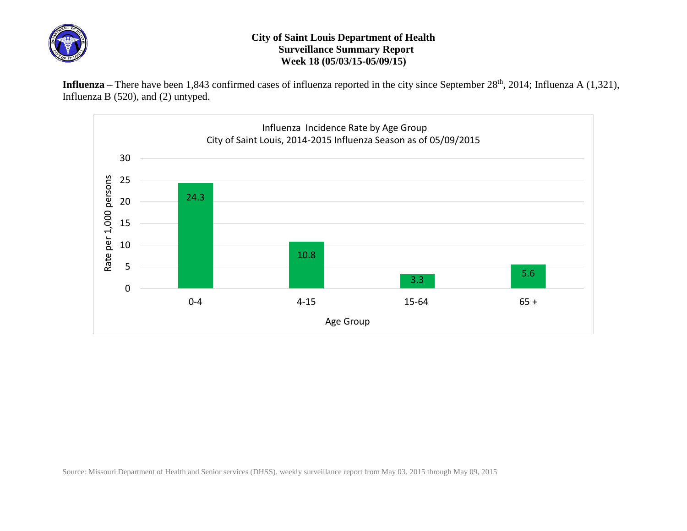

## **City of Saint Louis Department of Health Surveillance Summary Report Week 18 (05/03/15-05/09/15)**

Influenza – There have been 1,843 confirmed cases of influenza reported in the city since September 28<sup>th</sup>, 2014; Influenza A (1,321), Influenza B (520), and (2) untyped.